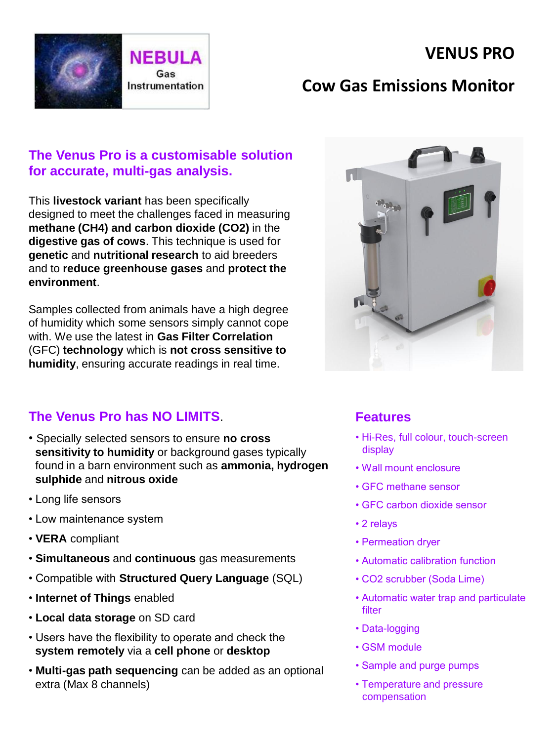



## **Cow Gas Emissions Monitor**

### **The Venus Pro is a customisable solution for accurate, multi-gas analysis.**

This **livestock variant** has been specifically designed to meet the challenges faced in measuring **methane (CH4) and carbon dioxide (CO2)** in the **digestive gas of cows**. This technique is used for **genetic** and **nutritional research** to aid breeders and to **reduce greenhouse gases** and **protect the environment**.

Samples collected from animals have a high degree of humidity which some sensors simply cannot cope with. We use the latest in **Gas Filter Correlation**  (GFC) **technology** which is **not cross sensitive to humidity**, ensuring accurate readings in real time.

### **The Venus Pro has NO LIMITS**.

- Specially selected sensors to ensure **no cross sensitivity to humidity** or background gases typically found in a barn environment such as **ammonia, hydrogen sulphide** and **nitrous oxide**
- Long life sensors
- Low maintenance system
- **VERA** compliant
- **Simultaneous** and **continuous** gas measurements
- Compatible with **Structured Query Language** (SQL)
- **Internet of Things** enabled
- **Local data storage** on SD card
- Users have the flexibility to operate and check the **system remotely** via a **cell phone** or **desktop**
- **Multi-gas path sequencing** can be added as an optional extra (Max 8 channels)



#### **Features**

- Hi-Res, full colour, touch-screen display
- Wall mount enclosure
- GFC methane sensor
- GFC carbon dioxide sensor
- 2 relays
- Permeation dryer
- Automatic calibration function
- CO2 scrubber (Soda Lime)
- Automatic water trap and particulate filter
- Data-logging
- GSM module
- Sample and purge pumps
- Temperature and pressure compensation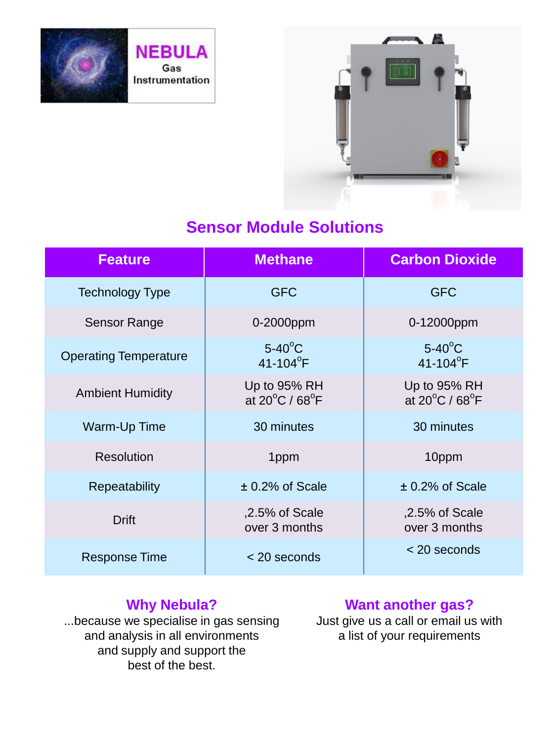

**NEBULA** Gas Instrumentation



# **Sensor Module Solutions**

| <b>Feature</b>               | <b>Methane</b>                                      | <b>Carbon Dioxide</b>                               |
|------------------------------|-----------------------------------------------------|-----------------------------------------------------|
| <b>Technology Type</b>       | <b>GFC</b>                                          | <b>GFC</b>                                          |
| Sensor Range                 | 0-2000ppm                                           | 0-12000ppm                                          |
| <b>Operating Temperature</b> | $5-40^{\circ}$ C<br>41-104 $^{\circ}$ F             | $5-40^{\circ}$ C<br>$41 - 104$ <sup>°</sup> F       |
| <b>Ambient Humidity</b>      | Up to 95% RH<br>at $20^{\circ}$ C / 68 $^{\circ}$ F | Up to 95% RH<br>at $20^{\circ}$ C / 68 $^{\circ}$ F |
| Warm-Up Time                 | 30 minutes                                          | 30 minutes                                          |
| <b>Resolution</b>            | 1ppm                                                | 10ppm                                               |
| Repeatability                | $± 0.2\%$ of Scale                                  | $± 0.2\%$ of Scale                                  |
| <b>Drift</b>                 | $,2.5\%$ of Scale<br>over 3 months                  | ,2.5% of Scale<br>over 3 months                     |
| <b>Response Time</b>         | $<$ 20 seconds                                      | < 20 seconds                                        |

## **Why Nebula?**

...because we specialise in gas sensing and analysis in all environments and supply and support the best of the best.

## **Want another gas?**

Just give us a call or email us with a list of your requirements